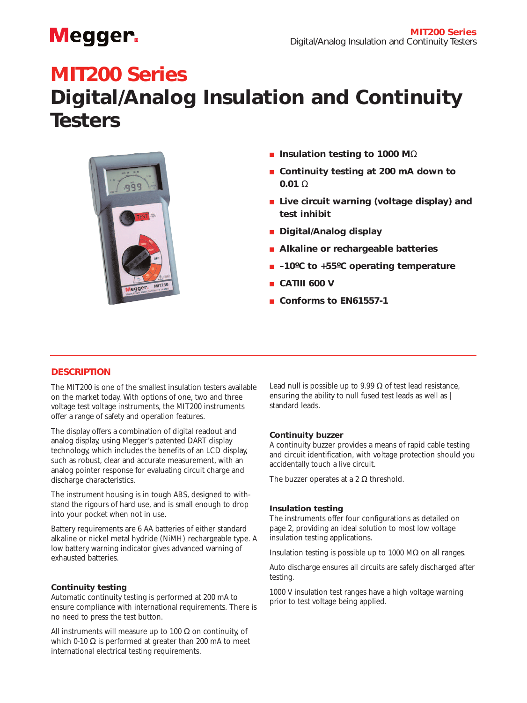# **Megger**

# **MIT200 Series**

# **Digital/Analog Insulation and Continuity Testers**



- **Insulation testing to 1000 M**Ω
- **Continuity testing at 200 mA down to 0.01** Ω
- Live circuit warning (voltage display) and **test inhibit**
- **Digital/Analog display**
- **Alkaline or rechargeable batteries**
- **-10°C** to +55°C operating temperature
- **CATIII 600 V**
- **Conforms to EN61557-1**

# **DESCRIPTION**

The MIT200 is one of the smallest insulation testers available on the market today. With options of one, two and three voltage test voltage instruments, the MIT200 instruments offer a range of safety and operation features.

The display offers a combination of digital readout and analog display, using Megger's patented DART display technology, which includes the benefits of an LCD display, such as robust, clear and accurate measurement, with an analog pointer response for evaluating circuit charge and discharge characteristics.

The instrument housing is in tough ABS, designed to withstand the rigours of hard use, and is small enough to drop into your pocket when not in use.

Battery requirements are 6 AA batteries of either standard alkaline or nickel metal hydride (NiMH) rechargeable type. A low battery warning indicator gives advanced warning of exhausted batteries.

# **Continuity testing**

Automatic continuity testing is performed at 200 mA to ensure compliance with international requirements. There is no need to press the test button.

All instruments will measure up to 100  $\Omega$  on continuity, of which 0-10  $\Omega$  is performed at greater than 200 mA to meet international electrical testing requirements.

Lead null is possible up to 9.99  $\Omega$  of test lead resistance, ensuring the ability to null fused test leads as well as | standard leads.

# **Continuity buzzer**

A continuity buzzer provides a means of rapid cable testing and circuit identification, with voltage protection should you accidentally touch a live circuit.

The buzzer operates at a 2  $\Omega$  threshold.

# **Insulation testing**

The instruments offer four configurations as detailed on page 2, providing an ideal solution to most low voltage insulation testing applications.

Insulation testing is possible up to 1000 MΩ on all ranges.

Auto discharge ensures all circuits are safely discharged after testing.

1000 V insulation test ranges have a high voltage warning prior to test voltage being applied.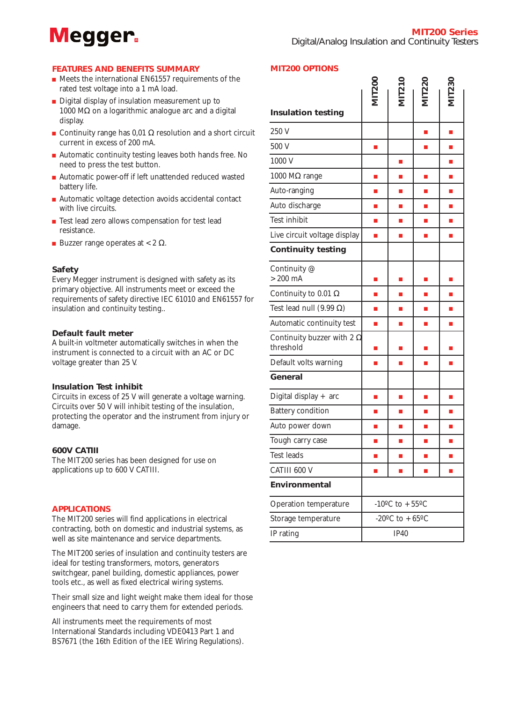# **Megger**

**MIT200 OPTIONS**

### **FEATURES AND BENEFITS SUMMARY**

- Meets the international EN61557 requirements of the rated test voltage into a 1 mA load.
- Digital display of insulation measurement up to 1000 MΩ on a logarithmic analogue arc and a digital display.
- Continuity range has  $0.01$  Ω resolution and a short circuit current in excess of 200 mA.
- Automatic continuity testing leaves both hands free. No need to press the test button.
- Automatic power-off if left unattended reduced wasted battery life.
- Automatic voltage detection avoids accidental contact with live circuits.
- $\blacksquare$ <br> <br> Test lead zero allows compensation for test lead resistance.
- **Buzzer range operates at <2**  $\Omega$ **.**

#### **Safety**

Every Megger instrument is designed with safety as its primary objective. All instruments meet or exceed the requirements of safety directive IEC 61010 and EN61557 for insulation and continuity testing..

### **Default fault meter**

A built-in voltmeter automatically switches in when the instrument is connected to a circuit with an AC or DC voltage greater than 25 V.

#### **Insulation Test inhibit**

Circuits in excess of 25 V will generate a voltage warning. Circuits over 50 V will inhibit testing of the insulation, protecting the operator and the instrument from injury or damage.

#### **600V CATIII**

The MIT200 series has been designed for use on applications up to 600 V CATIII.

#### **APPLICATIONS**

The MIT200 series will find applications in electrical contracting, both on domestic and industrial systems, as well as site maintenance and service departments.

The MIT200 series of insulation and continuity testers are ideal for testing transformers, motors, generators switchgear, panel building, domestic appliances, power tools etc., as well as fixed electrical wiring systems.

Their small size and light weight make them ideal for those engineers that need to carry them for extended periods.

All instruments meet the requirements of most International Standards including VDE0413 Part 1 and BS7671 (the 16th Edition of the IEE Wiring Regulations).

| <b>Insulation testing</b>                      | <b>MIT200</b>                              | <b>MIT210</b> | <b>MIT220</b> | <b>MIT230</b>  |
|------------------------------------------------|--------------------------------------------|---------------|---------------|----------------|
| 250 V                                          |                                            |               | Ē,            | I.             |
| 500 V                                          | I.                                         |               | Ē.            | $\blacksquare$ |
| 1000 V                                         |                                            | L.            |               | L.             |
| 1000 $M\Omega$ range                           | I.                                         | Ē.            | Ē,            | Ē,             |
| Auto-ranging                                   | п                                          | П             | п             | Ī.             |
| Auto discharge                                 | П                                          | L.            | L.            | a,             |
| Test inhibit                                   | $\blacksquare$                             | ×,            | L.            | п              |
| Live circuit voltage display                   | п                                          | П             | E             | a.             |
| <b>Continuity testing</b>                      |                                            |               |               |                |
| Continuity @<br>$>200$ mA                      | п                                          | $\Box$        | П             | п              |
| Continuity to 0.01 $\Omega$                    | П                                          | П             | Ē.            | L.             |
| Test lead null $(9.99 \Omega)$                 | П                                          | П             | Ē.            | Ē.             |
| Automatic continuity test                      | Ē,                                         | ×,            | Ē,            | п              |
| Continuity buzzer with 2 $\Omega$<br>threshold | П                                          | Ξ             | Ξ             | E              |
| Default volts warning                          | п                                          | П             | п             | п              |
| General                                        |                                            |               |               |                |
| Digital display + arc                          | L.                                         | $\Box$        | П             | $\blacksquare$ |
| <b>Battery condition</b>                       | П                                          | П             | Ē.            | a.             |
| Auto power down                                | n                                          | П             | Ē.            | Ē.             |
| Tough carry case                               | П                                          | L.            | E             | I.             |
| Test leads                                     | I.                                         | E             | E             | $\blacksquare$ |
| CATIII 600 V                                   | Ē.                                         | Ē.            | É             | Ë              |
| Environmental                                  |                                            |               |               |                |
| Operation temperature                          | -10 <sup>o</sup> C to $+55$ <sup>o</sup> C |               |               |                |
| Storage temperature                            | -20°C to $+65$ °C                          |               |               |                |
| IP rating                                      | <b>IP40</b>                                |               |               |                |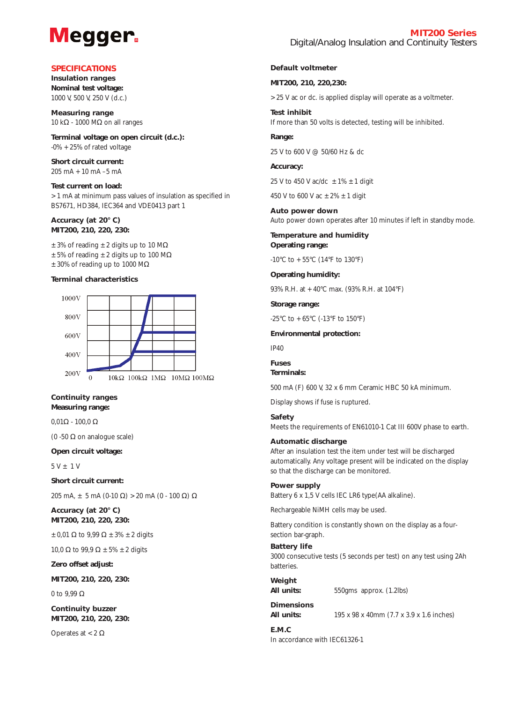# **Megger**

### **SPECIFICATIONS**

**Insulation ranges Nominal test voltage:**  1000 V, 500 V, 250 V (d.c.)

**Measuring range** 10 kΩ - 1000 MΩ on all ranges

**Terminal voltage on open circuit (d.c.):**  $-0\% +25\%$  of rated voltage

**Short circuit current:**   $205 \text{ mA} + 10 \text{ mA} - 5 \text{ mA}$ 

**Test current on load:** >1 mA at minimum pass values of insulation as specified in BS7671, HD384, IEC364 and VDE0413 part 1

**Accuracy (at 20° C) MIT200, 210, 220, 230:** 

 $\pm$  3% of reading  $\pm$  2 digits up to 10 M $\Omega$  $±5\%$  of reading  $±2$  digits up to 100 M $\Omega$  $\pm$  30% of reading up to 1000 M $\Omega$ 

#### **Terminal characteristics**



#### **Continuity ranges Measuring range:**

 $0,01\Omega - 100,0$  Ω

(0 -50 Ω on analogue scale)

#### **Open circuit voltage:**

 $5 V + 1 V$ 

**Short circuit current:**

205 mA,  $\pm$  5 mA (0-10 Ω) > 20 mA (0 - 100 Ω) Ω

**Accuracy (at 20° C) MIT200, 210, 220, 230:**

 $\pm 0.01 \Omega$  to 9.99  $\Omega \pm 3\% \pm 2$  digits

10,0  $\Omega$  to 99,9  $\Omega \pm 5\% \pm 2$  digits

**Zero offset adjust:** 

**MIT200, 210, 220, 230:**

0 to 9.99  $\Omega$ 

**Continuity buzzer MIT200, 210, 220, 230:**

Operates at  $<$  2 Ω

#### **Default voltmeter**

#### **MIT200, 210, 220,230:**

>25 V ac or dc. is applied display will operate as a voltmeter.

**Test inhibit** If more than 50 volts is detected, testing will be inhibited.

#### **Range:**

25 V to 600 V @ 50/60 Hz & dc

#### **Accuracy:**

25 V to 450 V ac/dc  $\pm 1\% \pm 1$  digit

450 V to 600 V ac  $\pm 2\% \pm 1$  digit

**Auto power down** Auto power down operates after 10 minutes if left in standby mode.

**Temperature and humidity Operating range:**

 $-10^{\circ}$ C to  $+55^{\circ}$ C (14 $^{\circ}$ F to 130 $^{\circ}$ F)

#### **Operating humidity:**

93% R.H. at +40°C max. (93% R.H. at 104°F)

**Storage range:**

-25°C to  $+65$ °C (-13°F to 150°F)

#### **Environmental protection:**

IP40

**Fuses**

# **Terminals:**

500 mA (F) 600 V, 32 x 6 mm Ceramic HBC 50 kA minimum.

Display shows if fuse is ruptured.

#### **Safety**

Meets the requirements of EN61010-1 Cat III 600V phase to earth.

#### **Automatic discharge**

After an insulation test the item under test will be discharged automatically. Any voltage present will be indicated on the display so that the discharge can be monitored.

#### **Power supply**

Battery 6 x 1,5 V cells IEC LR6 type(AA alkaline).

Rechargeable NiMH cells may be used.

Battery condition is constantly shown on the display as a foursection bar-graph.

### **Battery life**

3000 consecutive tests (5 seconds per test) on any test using 2Ah batteries.

# **Weight**

**All units:**  $550\text{gms}$  approx. (1.2lbs)

**Dimensions**

**All units:** 195 x 98 x 40mm (7.7 x 3.9 x 1.6 inches)

# **E.M.C**

In accordance with IEC61326-1